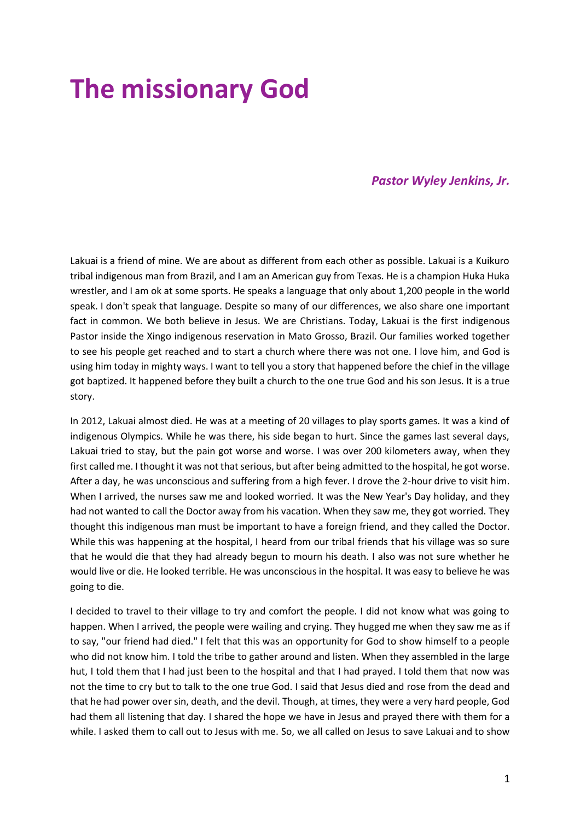# **The missionary God**

## *Pastor Wyley Jenkins, Jr.*

Lakuai is a friend of mine. We are about as different from each other as possible. Lakuai is a Kuikuro tribal indigenous man from Brazil, and I am an American guy from Texas. He is a champion Huka Huka wrestler, and I am ok at some sports. He speaks a language that only about 1,200 people in the world speak. I don't speak that language. Despite so many of our differences, we also share one important fact in common. We both believe in Jesus. We are Christians. Today, Lakuai is the first indigenous Pastor inside the Xingo indigenous reservation in Mato Grosso, Brazil. Our families worked together to see his people get reached and to start a church where there was not one. I love him, and God is using him today in mighty ways. I want to tell you a story that happened before the chief in the village got baptized. It happened before they built a church to the one true God and his son Jesus. It is a true story.

In 2012, Lakuai almost died. He was at a meeting of 20 villages to play sports games. It was a kind of indigenous Olympics. While he was there, his side began to hurt. Since the games last several days, Lakuai tried to stay, but the pain got worse and worse. I was over 200 kilometers away, when they first called me. I thought it was not that serious, but after being admitted to the hospital, he got worse. After a day, he was unconscious and suffering from a high fever. I drove the 2-hour drive to visit him. When I arrived, the nurses saw me and looked worried. It was the New Year's Day holiday, and they had not wanted to call the Doctor away from his vacation. When they saw me, they got worried. They thought this indigenous man must be important to have a foreign friend, and they called the Doctor. While this was happening at the hospital, I heard from our tribal friends that his village was so sure that he would die that they had already begun to mourn his death. I also was not sure whether he would live or die. He looked terrible. He was unconscious in the hospital. It was easy to believe he was going to die.

I decided to travel to their village to try and comfort the people. I did not know what was going to happen. When I arrived, the people were wailing and crying. They hugged me when they saw me as if to say, "our friend had died." I felt that this was an opportunity for God to show himself to a people who did not know him. I told the tribe to gather around and listen. When they assembled in the large hut, I told them that I had just been to the hospital and that I had prayed. I told them that now was not the time to cry but to talk to the one true God. I said that Jesus died and rose from the dead and that he had power over sin, death, and the devil. Though, at times, they were a very hard people, God had them all listening that day. I shared the hope we have in Jesus and prayed there with them for a while. I asked them to call out to Jesus with me. So, we all called on Jesus to save Lakuai and to show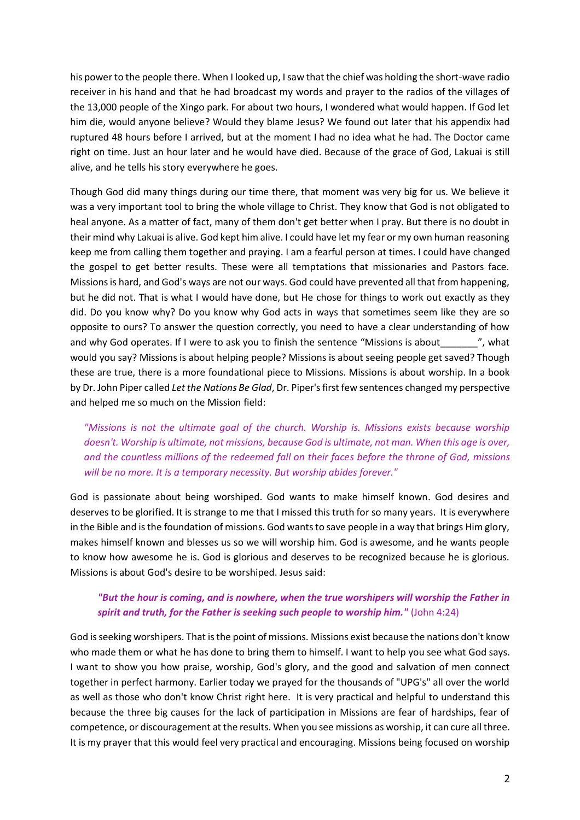his power to the people there. When I looked up, I saw that the chief was holding the short-wave radio receiver in his hand and that he had broadcast my words and prayer to the radios of the villages of the 13,000 people of the Xingo park. For about two hours, I wondered what would happen. If God let him die, would anyone believe? Would they blame Jesus? We found out later that his appendix had ruptured 48 hours before I arrived, but at the moment I had no idea what he had. The Doctor came right on time. Just an hour later and he would have died. Because of the grace of God, Lakuai is still alive, and he tells his story everywhere he goes.

Though God did many things during our time there, that moment was very big for us. We believe it was a very important tool to bring the whole village to Christ. They know that God is not obligated to heal anyone. As a matter of fact, many of them don't get better when I pray. But there is no doubt in their mind why Lakuai is alive. God kept him alive. I could have let my fear or my own human reasoning keep me from calling them together and praying. I am a fearful person at times. I could have changed the gospel to get better results. These were all temptations that missionaries and Pastors face. Missions is hard, and God's ways are not our ways. God could have prevented all that from happening, but he did not. That is what I would have done, but He chose for things to work out exactly as they did. Do you know why? Do you know why God acts in ways that sometimes seem like they are so opposite to ours? To answer the question correctly, you need to have a clear understanding of how and why God operates. If I were to ask you to finish the sentence "Missions is about\_\_\_\_\_\_\_", what would you say? Missions is about helping people? Missions is about seeing people get saved? Though these are true, there is a more foundational piece to Missions. Missions is about worship. In a book by Dr. John Piper called *Let the Nations Be Glad*, Dr. Piper's first few sentences changed my perspective and helped me so much on the Mission field:

*"Missions is not the ultimate goal of the church. Worship is. Missions exists because worship doesn't. Worship is ultimate, not missions, because God is ultimate, not man. When this age is over, and the countless millions of the redeemed fall on their faces before the throne of God, missions will be no more. It is a temporary necessity. But worship abides forever."* 

God is passionate about being worshiped. God wants to make himself known. God desires and deserves to be glorified. It is strange to me that I missed this truth for so many years. It is everywhere in the Bible and is the foundation of missions. God wants to save people in a way that brings Him glory, makes himself known and blesses us so we will worship him. God is awesome, and he wants people to know how awesome he is. God is glorious and deserves to be recognized because he is glorious. Missions is about God's desire to be worshiped. Jesus said:

## *"But the hour is coming, and is nowhere, when the true worshipers will worship the Father in spirit and truth, for the Father is seeking such people to worship him."* (John 4:24)

God is seeking worshipers. That is the point of missions. Missions exist because the nations don't know who made them or what he has done to bring them to himself. I want to help you see what God says. I want to show you how praise, worship, God's glory, and the good and salvation of men connect together in perfect harmony. Earlier today we prayed for the thousands of "UPG's" all over the world as well as those who don't know Christ right here. It is very practical and helpful to understand this because the three big causes for the lack of participation in Missions are fear of hardships, fear of competence, or discouragement at the results. When you see missions as worship, it can cure all three. It is my prayer that this would feel very practical and encouraging. Missions being focused on worship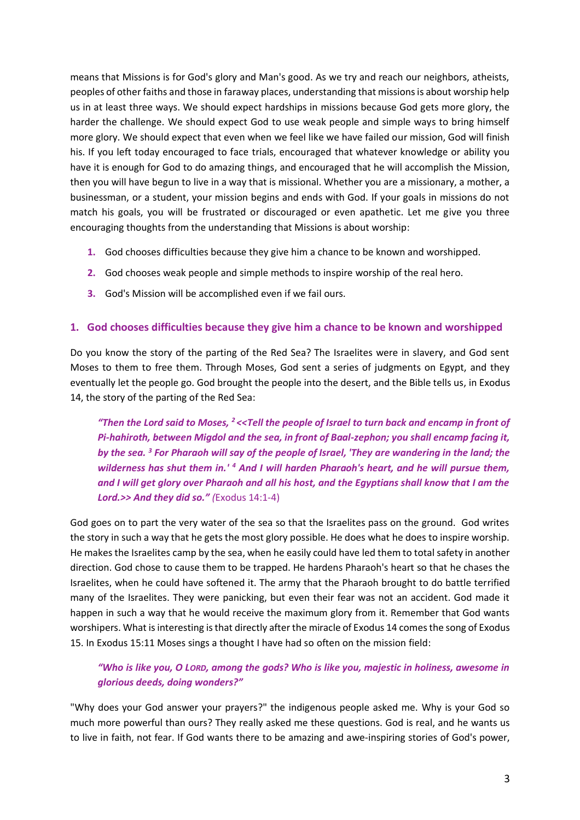means that Missions is for God's glory and Man's good. As we try and reach our neighbors, atheists, peoples of other faiths and those in faraway places, understanding that missions is about worship help us in at least three ways. We should expect hardships in missions because God gets more glory, the harder the challenge. We should expect God to use weak people and simple ways to bring himself more glory. We should expect that even when we feel like we have failed our mission, God will finish his. If you left today encouraged to face trials, encouraged that whatever knowledge or ability you have it is enough for God to do amazing things, and encouraged that he will accomplish the Mission, then you will have begun to live in a way that is missional. Whether you are a missionary, a mother, a businessman, or a student, your mission begins and ends with God. If your goals in missions do not match his goals, you will be frustrated or discouraged or even apathetic. Let me give you three encouraging thoughts from the understanding that Missions is about worship:

- **1.** God chooses difficulties because they give him a chance to be known and worshipped.
- **2.** God chooses weak people and simple methods to inspire worship of the real hero.
- **3.** God's Mission will be accomplished even if we fail ours.

## **1. God chooses difficulties because they give him a chance to be known and worshipped**

Do you know the story of the parting of the Red Sea? The Israelites were in slavery, and God sent Moses to them to free them. Through Moses, God sent a series of judgments on Egypt, and they eventually let the people go. God brought the people into the desert, and the Bible tells us, in Exodus 14, the story of the parting of the Red Sea:

*"Then the Lord said to Moses, <sup>2</sup><<Tell the people of Israel to turn back and encamp in front of Pi-hahiroth, between Migdol and the sea, in front of Baal-zephon; you shall encamp facing it, by the sea. <sup>3</sup> For Pharaoh will say of the people of Israel, 'They are wandering in the land; the wilderness has shut them in.' <sup>4</sup> And I will harden Pharaoh's heart, and he will pursue them, and I will get glory over Pharaoh and all his host, and the Egyptians shall know that I am the Lord.>> And they did so." (*Exodus 14:1-4)

God goes on to part the very water of the sea so that the Israelites pass on the ground. God writes the story in such a way that he gets the most glory possible. He does what he does to inspire worship. He makes the Israelites camp by the sea, when he easily could have led them to total safety in another direction. God chose to cause them to be trapped. He hardens Pharaoh's heart so that he chases the Israelites, when he could have softened it. The army that the Pharaoh brought to do battle terrified many of the Israelites. They were panicking, but even their fear was not an accident. God made it happen in such a way that he would receive the maximum glory from it. Remember that God wants worshipers. What is interesting is that directly after the miracle of Exodus 14 comes the song of Exodus 15. In Exodus 15:11 Moses sings a thought I have had so often on the mission field:

## *"Who is like you, O LORD, among the gods? Who is like you, majestic in holiness, awesome in glorious deeds, doing wonders?"*

"Why does your God answer your prayers?" the indigenous people asked me. Why is your God so much more powerful than ours? They really asked me these questions. God is real, and he wants us to live in faith, not fear. If God wants there to be amazing and awe-inspiring stories of God's power,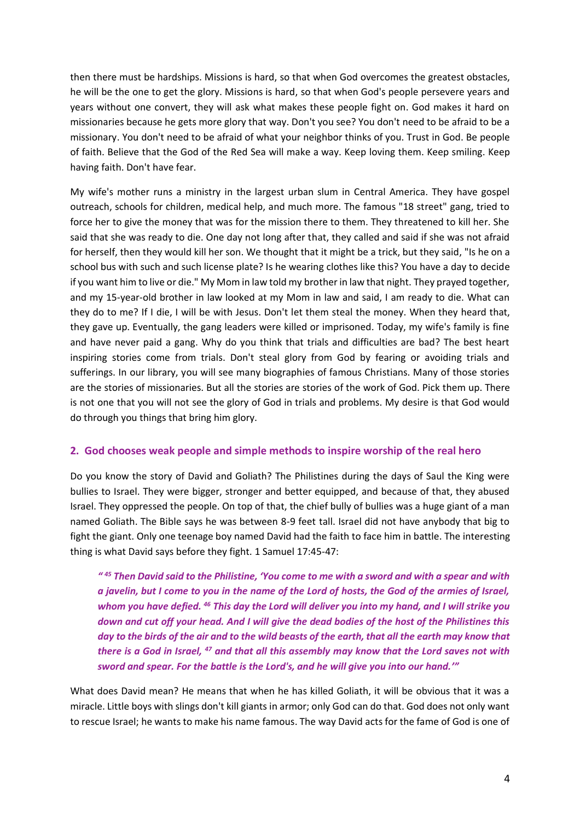then there must be hardships. Missions is hard, so that when God overcomes the greatest obstacles, he will be the one to get the glory. Missions is hard, so that when God's people persevere years and years without one convert, they will ask what makes these people fight on. God makes it hard on missionaries because he gets more glory that way. Don't you see? You don't need to be afraid to be a missionary. You don't need to be afraid of what your neighbor thinks of you. Trust in God. Be people of faith. Believe that the God of the Red Sea will make a way. Keep loving them. Keep smiling. Keep having faith. Don't have fear.

My wife's mother runs a ministry in the largest urban slum in Central America. They have gospel outreach, schools for children, medical help, and much more. The famous "18 street" gang, tried to force her to give the money that was for the mission there to them. They threatened to kill her. She said that she was ready to die. One day not long after that, they called and said if she was not afraid for herself, then they would kill her son. We thought that it might be a trick, but they said, "Is he on a school bus with such and such license plate? Is he wearing clothes like this? You have a day to decide if you want him to live or die." My Mom in law told my brother in law that night. They prayed together, and my 15-year-old brother in law looked at my Mom in law and said, I am ready to die. What can they do to me? If I die, I will be with Jesus. Don't let them steal the money. When they heard that, they gave up. Eventually, the gang leaders were killed or imprisoned. Today, my wife's family is fine and have never paid a gang. Why do you think that trials and difficulties are bad? The best heart inspiring stories come from trials. Don't steal glory from God by fearing or avoiding trials and sufferings. In our library, you will see many biographies of famous Christians. Many of those stories are the stories of missionaries. But all the stories are stories of the work of God. Pick them up. There is not one that you will not see the glory of God in trials and problems. My desire is that God would do through you things that bring him glory.

## **2. God chooses weak people and simple methods to inspire worship of the real hero**

Do you know the story of David and Goliath? The Philistines during the days of Saul the King were bullies to Israel. They were bigger, stronger and better equipped, and because of that, they abused Israel. They oppressed the people. On top of that, the chief bully of bullies was a huge giant of a man named Goliath. The Bible says he was between 8-9 feet tall. Israel did not have anybody that big to fight the giant. Only one teenage boy named David had the faith to face him in battle. The interesting thing is what David says before they fight. 1 Samuel 17:45-47:

*" <sup>45</sup> Then David said to the Philistine, 'You come to me with a sword and with a spear and with a javelin, but I come to you in the name of the Lord of hosts, the God of the armies of Israel, whom you have defied. <sup>46</sup> This day the Lord will deliver you into my hand, and I will strike you down and cut off your head. And I will give the dead bodies of the host of the Philistines this day to the birds of the air and to the wild beasts of the earth, that all the earth may know that there is a God in Israel, <sup>47</sup> and that all this assembly may know that the Lord saves not with sword and spear. For the battle is the Lord's, and he will give you into our hand.'"*

What does David mean? He means that when he has killed Goliath, it will be obvious that it was a miracle. Little boys with slings don't kill giants in armor; only God can do that. God does not only want to rescue Israel; he wants to make his name famous. The way David acts for the fame of God is one of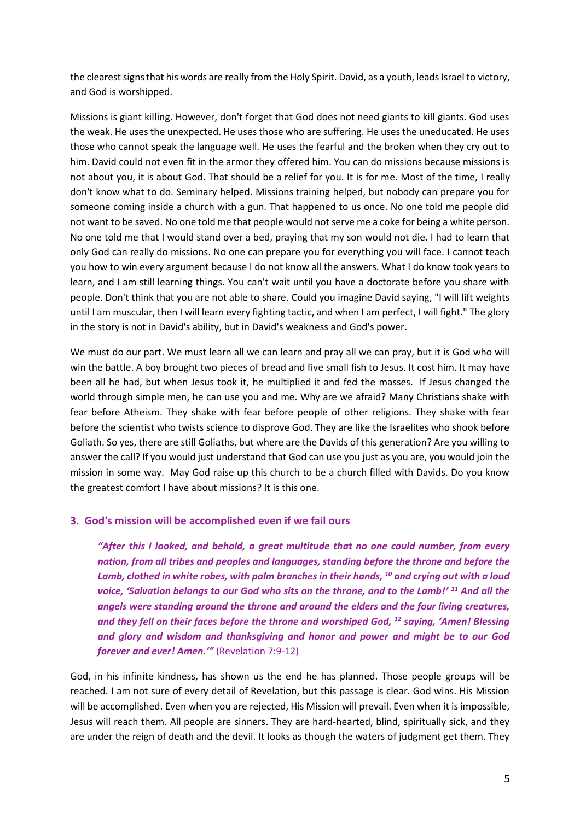the clearest signs that his words are really from the Holy Spirit. David, as a youth, leads Israel to victory, and God is worshipped.

Missions is giant killing. However, don't forget that God does not need giants to kill giants. God uses the weak. He uses the unexpected. He uses those who are suffering. He uses the uneducated. He uses those who cannot speak the language well. He uses the fearful and the broken when they cry out to him. David could not even fit in the armor they offered him. You can do missions because missions is not about you, it is about God. That should be a relief for you. It is for me. Most of the time, I really don't know what to do. Seminary helped. Missions training helped, but nobody can prepare you for someone coming inside a church with a gun. That happened to us once. No one told me people did not want to be saved. No one told me that people would not serve me a coke for being a white person. No one told me that I would stand over a bed, praying that my son would not die. I had to learn that only God can really do missions. No one can prepare you for everything you will face. I cannot teach you how to win every argument because I do not know all the answers. What I do know took years to learn, and I am still learning things. You can't wait until you have a doctorate before you share with people. Don't think that you are not able to share. Could you imagine David saying, "I will lift weights until I am muscular, then I will learn every fighting tactic, and when I am perfect, I will fight." The glory in the story is not in David's ability, but in David's weakness and God's power.

We must do our part. We must learn all we can learn and pray all we can pray, but it is God who will win the battle. A boy brought two pieces of bread and five small fish to Jesus. It cost him. It may have been all he had, but when Jesus took it, he multiplied it and fed the masses. If Jesus changed the world through simple men, he can use you and me. Why are we afraid? Many Christians shake with fear before Atheism. They shake with fear before people of other religions. They shake with fear before the scientist who twists science to disprove God. They are like the Israelites who shook before Goliath. So yes, there are still Goliaths, but where are the Davids of this generation? Are you willing to answer the call? If you would just understand that God can use you just as you are, you would join the mission in some way. May God raise up this church to be a church filled with Davids. Do you know the greatest comfort I have about missions? It is this one.

## **3. God's mission will be accomplished even if we fail ours**

*"After this I looked, and behold, a great multitude that no one could number, from every nation, from all tribes and peoples and languages, standing before the throne and before the Lamb, clothed in white robes, with palm branches in their hands, <sup>10</sup> and crying out with a loud voice, 'Salvation belongs to our God who sits on the throne, and to the Lamb!' <sup>11</sup> And all the angels were standing around the throne and around the elders and the four living creatures, and they fell on their faces before the throne and worshiped God, <sup>12</sup> saying, 'Amen! Blessing and glory and wisdom and thanksgiving and honor and power and might be to our God forever and ever! Amen.'"* (Revelation 7:9-12)

God, in his infinite kindness, has shown us the end he has planned. Those people groups will be reached. I am not sure of every detail of Revelation, but this passage is clear. God wins. His Mission will be accomplished. Even when you are rejected, His Mission will prevail. Even when it is impossible, Jesus will reach them. All people are sinners. They are hard-hearted, blind, spiritually sick, and they are under the reign of death and the devil. It looks as though the waters of judgment get them. They